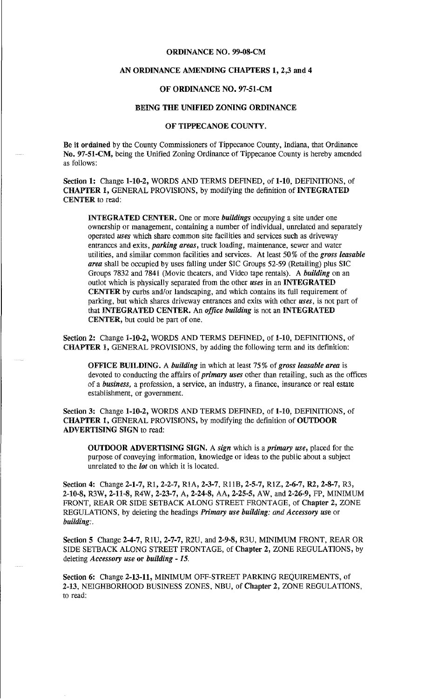#### ORDINANCE NO. 99-08-CM

## AN ORDINANCE AMENDING CHAPfERS 1, 2,3 and 4

## OF ORDINANCE NO. 97-51-CM

#### BEING THE UNIFIED ZONING ORDINANCE

#### OF TIPPECANOE COUNTY.

Be it ordained by the County Commissioners of Tippecanoe County, Indiana, that Ordinance No. 97-51-CM, being the Unified Zoning Ordinance of Tippecanoe County is hereby amended as follows:

Section 1: Change 1-10-2, WORDS AND TERMS DEFINED, of 1-10, DEFINITIONS, of CHAPTER 1, GENERAL PROVISIONS, by modifying the definition of INTEGRATED CENTER to read:

INTEGRATED CENTER. One or more *buildings* occupying a site under one ownership or management, containing a number of individual, unrelated and separately operated *uses* which share common site facilities and services such as driveway entrances and exits, *parking areas,* truck loading, maintenance, sewer and water utilities, and similar common facilities and services. At least 50% of the *gross leasable area* shall be occupied by uses falling under SIC Groups 52-59 (Retailing) plus SIC Groups 7832 and 7841 (Movie theaters, and Video tape rentals). A *building* on an outlot which is physically separated from the other *uses* in an INTEGRATED CENTER by curbs and/or landscaping, and which contains its full requirement of parking, but which shares driveway entrances and exits with other *uses,* is not part of that INTEGRATED CENTER. An *office building* is not an INTEGRATED CENTER, but could be part of one.

Section 2: Change 1-10-2, WORDS AND TERMS DEFINED, of 1-10, DEFINITIONS, of CHAPTER 1, GENERAL PROVISIONS, by adding the following term and its definition:

OFFICE BUILDING. A *building* in which at least 75% of *gross leasable area* is devoted to conducting the affairs of *primary uses* other than retailing, such as the offices of a *business,* a profession, a service, an industry, a finance, insurauce or real estate establishment, or government.

Section 3: Change 1-10-2, WORDS AND TERMS DEFINED, of 1-10, DEFINITIONS, of CHAPfER 1, GENERAL PROVISIONS, by modifying the definition of OUTDOOR ADVERTISING SIGN to read:

OUTDOOR ADVERTISING SIGN. A *sign* which is a *primary use,* placed for the purpose of conveying information, knowledge or ideas to the public about a subject unrelated to the *lot* on which it is located.

Section 4: Change 2-1-7, R1, 2-2-7, R1A, 2-3-7, R11B, 2-5-7, R1Z, 2-6-7, R2, 2-8-7, R3, 2-10-8, R3W, 2-11-8, R4W, 2-23-7, A, 2-24-8, AA, 2-25-5, AW, and 2-26-9, FP, MINIMUM FRONT, REAR OR SIDE SETBACK ALONG STREET FRONTAGE, of Chapter 2, ZONE REGULATIONS, by deleting the headings *Primary use building: and Accessory use* or *building:.* 

Section 5 Change 2-4-7, RlU, 2-7-7, R2U, aud 2-9-8, R3U, MINIMUM FRONT, REAR OR SIDE SETBACK ALONG STREET FRONTAGE, of Chapter 2, ZONE REGULATIONS, by deleting *Accessory use* or *building* - *15.* 

Section 6: Change 2-13-11, MINIMUM OFF-STREET PARKING REQUIREMENTS, of 2-13, NEIGHBORHOOD BUSINESS ZONES, NBU, of Chapter 2, ZONE REGULATIONS, to read: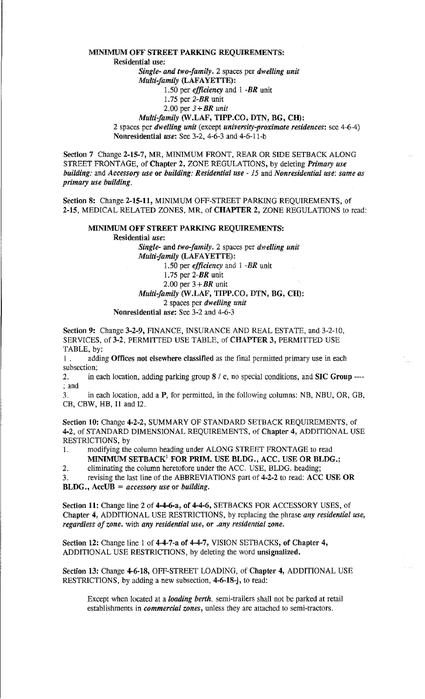#### MINIMUM OFF STREET PARKING REQUIREMENTS:

Residential use:

*Single- and two-family.* 2 spaces per *dwelling unit* 

*Multi-family* {LAFAYETTE):

1.50 per *efficiency* and 1 *-BR* unit

- l.75 per *2-BR* unit
- 2.00 per *3+BR unit*

# *Multi-family* (W.LAF, TIPP.CO, DTN, BG, CH):

2 spaces per *dwelling unit* (except *university-proximate residences:* see 4-6-4) Nonresidential *use:* See 3-2, 4-6-3 and 4-6-11-b

Section 7 Change 2-15-7, MR, MINIMUM FRONT, REAR OR SIDE SETBACK ALONG STREET FRONTAGE, of Chapter 2, ZONE REGULATIONS, by deleting *Primary use building:* and *Accessory use* or *building: Residential use* - *15* and *Nonresidential use: same as primary use building.* 

Section 8: Change 2-15-11, MINIMUM OFF-STREET PARKING REQUIREMENTS, of 2-15, MEDICAL RELATED ZONES, MR, of CHAPTER 2, ZONE REGULATIONS to read:

## MINIMUM OFF STREET PARKING REQUIREMENTS:

Residential *use:* 

*Single-* and *two-family.* 2 spaces per *dwelling unit Multi-family* (LAFAYETTE): 1.50 per *efficiency* and 1 *-BR* unit

1. 75 per *2-BR* unit

2.00 per  $3 + BR$  unit

# *Multi-family* (W.LAF, TIPP.CO, DTN, BG, CH):

2 spaces per *dwelling unit* 

Nonresidential *use:* See 3-2 and 4-6-3

Section 9: Change 3-2-9, FINANCE, INSURANCE AND REAL ESTATE, and 3-2-10, SERVICES, of 3-2, PERMITTED USE TABLE, of CHAPTER 3, PERMITTED USE TABLE, by:

1 . adding Offices not elsewhere classified as the final permitted primary use in each subsection;

2. in each location, adding parking group  $8 / c$ , no special conditions, and SIC Group ----; and

3. in each location, add a P, for permitted, in the following columns: NB, NBU, OR, GB, CB, CBW, HB, I1 and 12.

Section 10: Change 4-2-2, SUMMARY OF STANDARD SETBACK REQUIREMENTS, of 4-2, of STANDARD DIMENSIONAL REQUIREMENTS, of Chapter 4, ADDITIONAL USE RESTRICTIONS, by

1. modifying the column heading under ALONG STREET FRONTAGE to read

MINIMUM SETBACK<sup>1</sup> FOR PRIM. USE BLDG., ACC. USE OR BLDG.;

2. eliminating the column heretofore under the ACC. USE, BLDG. heading;

3. revising the last line of the ABBREVIATIONS part of 4-2-2 to read: ACCUSE OR BLDG., AccUB *=accessory use* or *building.* 

Section 11: Change line 2 of 4-4-6-a, of 4-4-6, SETBACKS FOR ACCESSORY USES, of Chapter 4, ADDITIONAL USE RESTRICTIONS, by replacing the phrase *any residential use, regardless of zone.* with *any residential use,* or *.any residential zone.* 

Section 12: Change line 1 of 4-4-7-a of 4-4-7, VISION SETBACKS, of Chapter 4, ADDITIONAL USE RESTRICTIONS, by deleting the word unsignalized.

Section 13: Change 4-6-18, OFF-STREET LOADING, of Chapter 4, ADDITIONAL USE RESTRICTIONS, by adding a new subsection, 4-6-18-j, to read:

Except when located at a *loading berth.* semi-trailers shall not be parked at retail establishments in *commercial zones,* unless they are attached to semi-tractors.